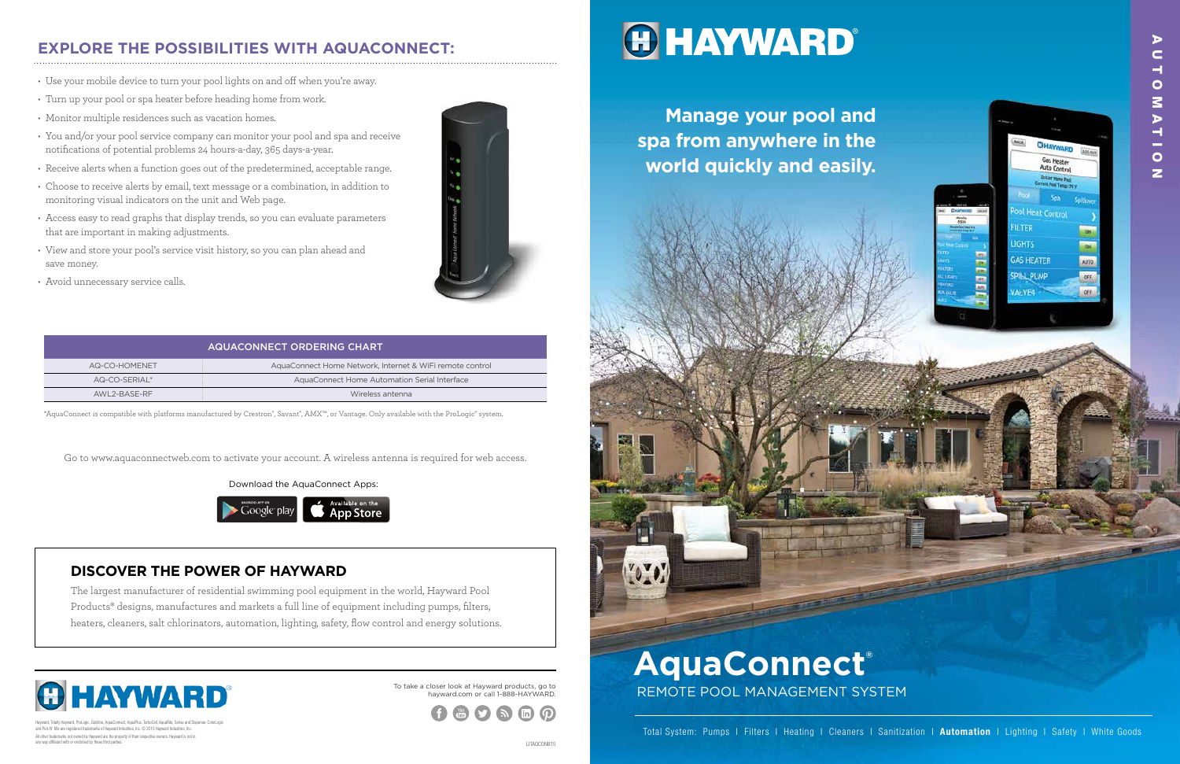Download the AquaConnect Apps:



To take a closer look at Hayward products, go to hayward.com or call 1-888-HAYWARD.



## **HAYWARD**

### **EXPLORE THE POSSIBILITIES WITH AQUACONNECT:**

- Use your mobile device to turn your pool lights on and off when you're away.
- Turn up your pool or spa heater before heading home from work.
- Monitor multiple residences such as vacation homes.
- You and/or your pool service company can monitor your pool and spa and receive notifications of potential problems 24 hours-a-day, 365 days-a-year.
- Receive alerts when a function goes out of the predetermined, acceptable range.
- Choose to receive alerts by email, text message or a combination, in addition to monitoring visual indicators on the unit and Web page.
- Access easy to read graphs that display trends, so you can evaluate parameters that are important in making adjustments.
- View and store your pool's service visit history, so you can plan ahead and save money.
- Avoid unnecessary service calls.



### **DISCOVER THE POWER OF HAYWARD**

All other trademarks not owned by Hayward are the property of their respective owners. Hayward is not in any way affiliated with or endorsed by those third parties. Hayward, Totally Hayward, ProLogic, Goldline, AquaConnect, AquaPlus, TurboCell, AquaRite, Sense and Dispense, ColorLogic and Pick N' Mix are registered trademarks of Hayward Industries, Inc. © 2015 Hayward Industries, Inc.

The largest manufacturer of residential swimming pool equipment in the world, Hayward Pool Products® designs, manufactures and markets a full line of equipment including pumps, filters, heaters, cleaners, salt chlorinators, automation, lighting, safety, flow control and energy solutions.



# REMOTE POOL MANAGEMENT SYSTEM



| AQUACONNECT ORDERING CHART |                                                          |
|----------------------------|----------------------------------------------------------|
| AQ-CO-HOMENET              | AquaConnect Home Network, Internet & WiFi remote control |
| AQ-CO-SERIAL*              | AquaConnect Home Automation Serial Interface             |
| AWI 2-BASE-RE              | Wireless antenna                                         |

Go to www.aquaconnectweb.com to activate your account. A wireless antenna is required for web access.

\*AquaConnect is compatible with platforms manufactured by Crestron®, Savant®, AMX™, or Vantage. Only available with the ProLogic® system.